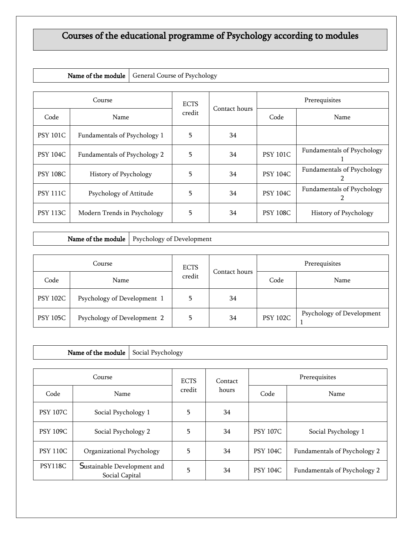## Courses of the educational programme of Psychology according to modules

|  | Name of the module   General Course of Psychology |
|--|---------------------------------------------------|
|--|---------------------------------------------------|

| Course          |                              | <b>ECTS</b> |               | Prerequisites   |                                        |  |
|-----------------|------------------------------|-------------|---------------|-----------------|----------------------------------------|--|
| Code            | Name                         | credit      | Contact hours | Code            | Name                                   |  |
| <b>PSY 101C</b> | Fundamentals of Psychology 1 | 5           | 34            |                 |                                        |  |
| <b>PSY 104C</b> | Fundamentals of Psychology 2 | 5           | 34            | <b>PSY 101C</b> | Fundamentals of Psychology             |  |
| <b>PSY 108C</b> | History of Psychology        | 5           | 34            | <b>PSY 104C</b> | Fundamentals of Psychology             |  |
| <b>PSY 111C</b> | Psychology of Attitude       | 5           | 34            | <b>PSY 104C</b> | <b>Fundamentals of Psychology</b><br>2 |  |
| <b>PSY 113C</b> | Modern Trends in Psychology  | 5           | 34            | <b>PSY 108C</b> | History of Psychology                  |  |

Name of the module | Psychology of Development

| Course          |                             | <b>ECTS</b> |               | Prerequisites   |                           |
|-----------------|-----------------------------|-------------|---------------|-----------------|---------------------------|
| Code            | Name                        | credit      | Contact hours | Code            | Name                      |
| <b>PSY 102C</b> | Psychology of Development 1 |             | 34            |                 |                           |
| <b>PSY 105C</b> | Psychology of Development 2 |             | 34            | <b>PSY 102C</b> | Psychology of Development |

| Social Psychology<br>Name of the module |                                               |  |             |         |                 |                              |  |
|-----------------------------------------|-----------------------------------------------|--|-------------|---------|-----------------|------------------------------|--|
| Course                                  |                                               |  | <b>ECTS</b> | Contact | Prerequisites   |                              |  |
| Code                                    | Name                                          |  | credit      | hours   | Code            | Name                         |  |
| <b>PSY 107C</b>                         | Social Psychology 1                           |  | 5           | 34      |                 |                              |  |
| <b>PSY 109C</b>                         | Social Psychology 2                           |  | 5           | 34      | <b>PSY 107C</b> | Social Psychology 1          |  |
| <b>PSY 110C</b>                         | Organizational Psychology                     |  | 5           | 34      | <b>PSY 104C</b> | Fundamentals of Psychology 2 |  |
| PSY118C                                 | Sustainable Development and<br>Social Capital |  | 5           | 34      | <b>PSY 104C</b> | Fundamentals of Psychology 2 |  |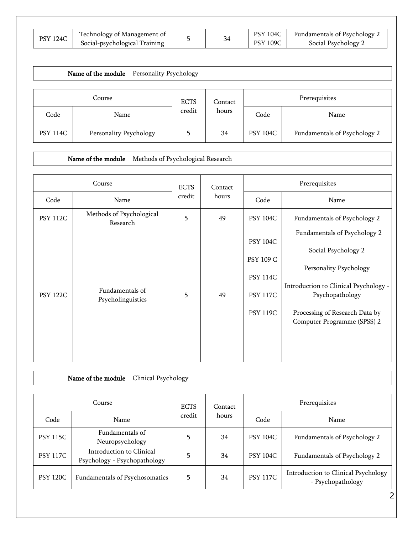| <b>PSY 124C</b> | Technology of Management of<br>Social-psychological Training |  | <b>PSY 104C</b><br><b>PSY 109C</b> | Fundamentals of Psychology 2<br>Social Psychology 2 |
|-----------------|--------------------------------------------------------------|--|------------------------------------|-----------------------------------------------------|

| Name of the module<br>Personality Psychology |                        |  |               |       |                 |                              |
|----------------------------------------------|------------------------|--|---------------|-------|-----------------|------------------------------|
| Course<br><b>ECTS</b><br>Contact             |                        |  | Prerequisites |       |                 |                              |
| Code                                         | Name                   |  | credit        | hours | Code            | Name                         |
| <b>PSY 114C</b>                              | Personality Psychology |  | 5             | 34    | <b>PSY 104C</b> | Fundamentals of Psychology 2 |

Name of the module  $\big|$  Methods of Psychological Research

| Course          |                                      | <b>ECTS</b> | Contact | Prerequisites                                                                                |                                                                                                                                                                                                            |  |
|-----------------|--------------------------------------|-------------|---------|----------------------------------------------------------------------------------------------|------------------------------------------------------------------------------------------------------------------------------------------------------------------------------------------------------------|--|
| Code            | Name                                 | credit      | hours   | Code                                                                                         | Name                                                                                                                                                                                                       |  |
| <b>PSY 112C</b> | Methods of Psychological<br>Research | 5           | 49      | <b>PSY 104C</b>                                                                              | Fundamentals of Psychology 2                                                                                                                                                                               |  |
| <b>PSY 122C</b> | Fundamentals of<br>Psycholinguistics | 5           | 49      | <b>PSY 104C</b><br><b>PSY 109 C</b><br><b>PSY 114C</b><br><b>PSY 117C</b><br><b>PSY 119C</b> | Fundamentals of Psychology 2<br>Social Psychology 2<br>Personality Psychology<br>Introduction to Clinical Psychology -<br>Psychopathology<br>Processing of Research Data by<br>Computer Programme (SPSS) 2 |  |

|                 | Name of the module                                       | Clinical Psychology |         |               |                 |                                                          |  |  |  |
|-----------------|----------------------------------------------------------|---------------------|---------|---------------|-----------------|----------------------------------------------------------|--|--|--|
|                 |                                                          |                     |         |               |                 |                                                          |  |  |  |
| Course          |                                                          | <b>ECTS</b>         | Contact | Prerequisites |                 |                                                          |  |  |  |
| Code            | Name                                                     |                     | credit  | hours         | Code            | Name                                                     |  |  |  |
| <b>PSY 115C</b> | Fundamentals of<br>Neuropsychology                       |                     | 5       | 34            | <b>PSY 104C</b> | Fundamentals of Psychology 2                             |  |  |  |
| <b>PSY 117C</b> | Introduction to Clinical<br>Psychology - Psychopathology |                     | 5       | 34            | <b>PSY 104C</b> | Fundamentals of Psychology 2                             |  |  |  |
| <b>PSY 120C</b> | Fundamentals of Psychosomatics                           |                     | 5       | 34            | <b>PSY 117C</b> | Introduction to Clinical Psychology<br>- Psychopathology |  |  |  |